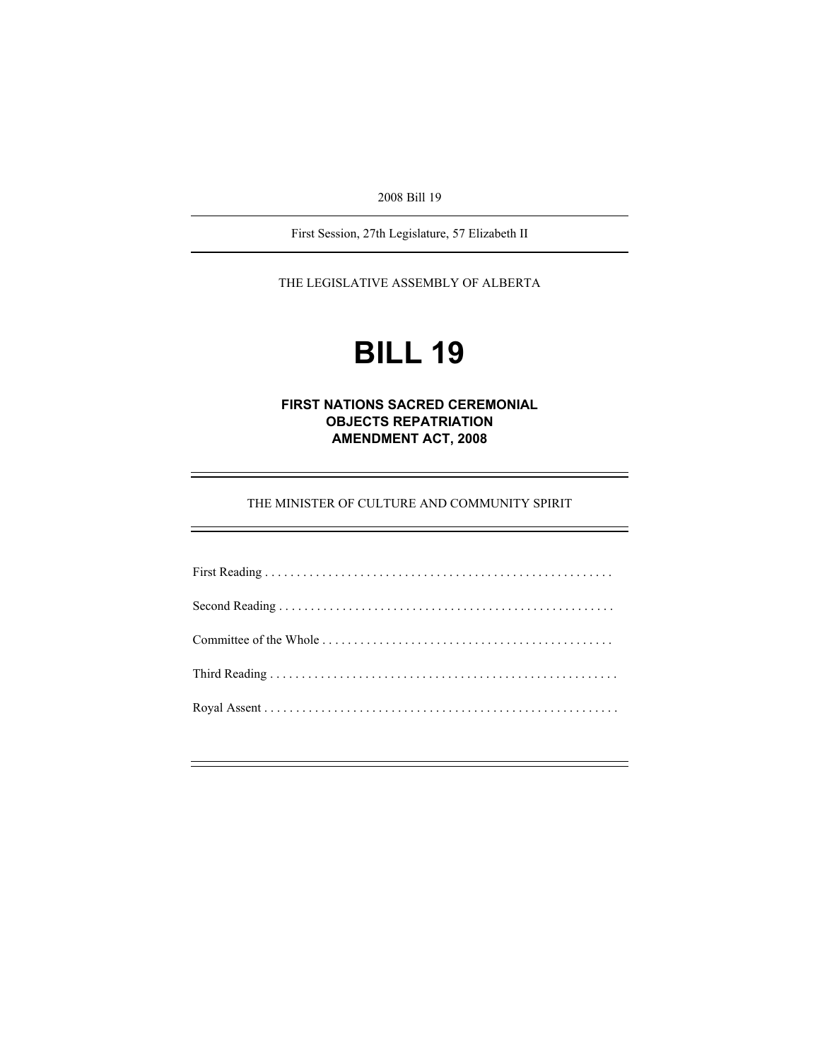2008 Bill 19

First Session, 27th Legislature, 57 Elizabeth II

THE LEGISLATIVE ASSEMBLY OF ALBERTA

# **BILL 19**

# **FIRST NATIONS SACRED CEREMONIAL OBJECTS REPATRIATION AMENDMENT ACT, 2008**

THE MINISTER OF CULTURE AND COMMUNITY SPIRIT

e<br>H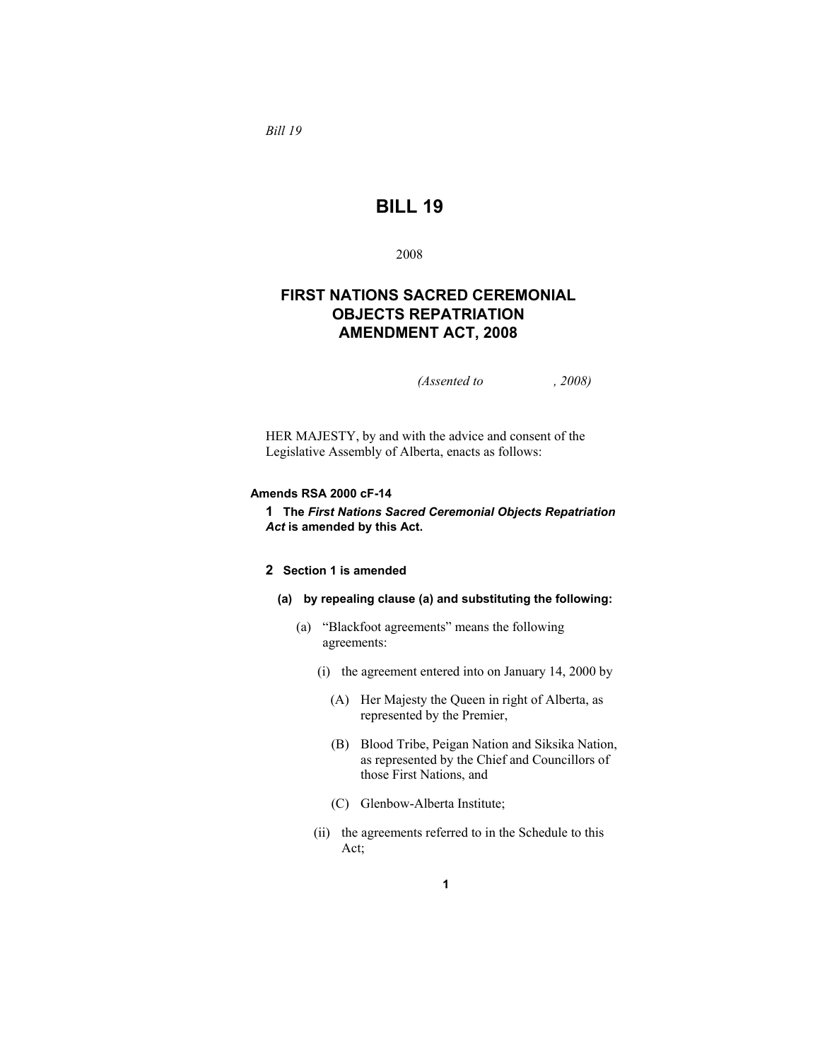*Bill 19* 

# **BILL 19**

2008

# **FIRST NATIONS SACRED CEREMONIAL OBJECTS REPATRIATION AMENDMENT ACT, 2008**

*(Assented to , 2008)* 

HER MAJESTY, by and with the advice and consent of the Legislative Assembly of Alberta, enacts as follows:

# **Amends RSA 2000 cF-14**

**1 The** *First Nations Sacred Ceremonial Objects Repatriation Act* **is amended by this Act.** 

# **2 Section 1 is amended**

# **(a) by repealing clause (a) and substituting the following:**

- (a) "Blackfoot agreements" means the following agreements:
	- (i) the agreement entered into on January 14, 2000 by
		- (A) Her Majesty the Queen in right of Alberta, as represented by the Premier,
		- (B) Blood Tribe, Peigan Nation and Siksika Nation, as represented by the Chief and Councillors of those First Nations, and
		- (C) Glenbow-Alberta Institute;
	- (ii) the agreements referred to in the Schedule to this Act;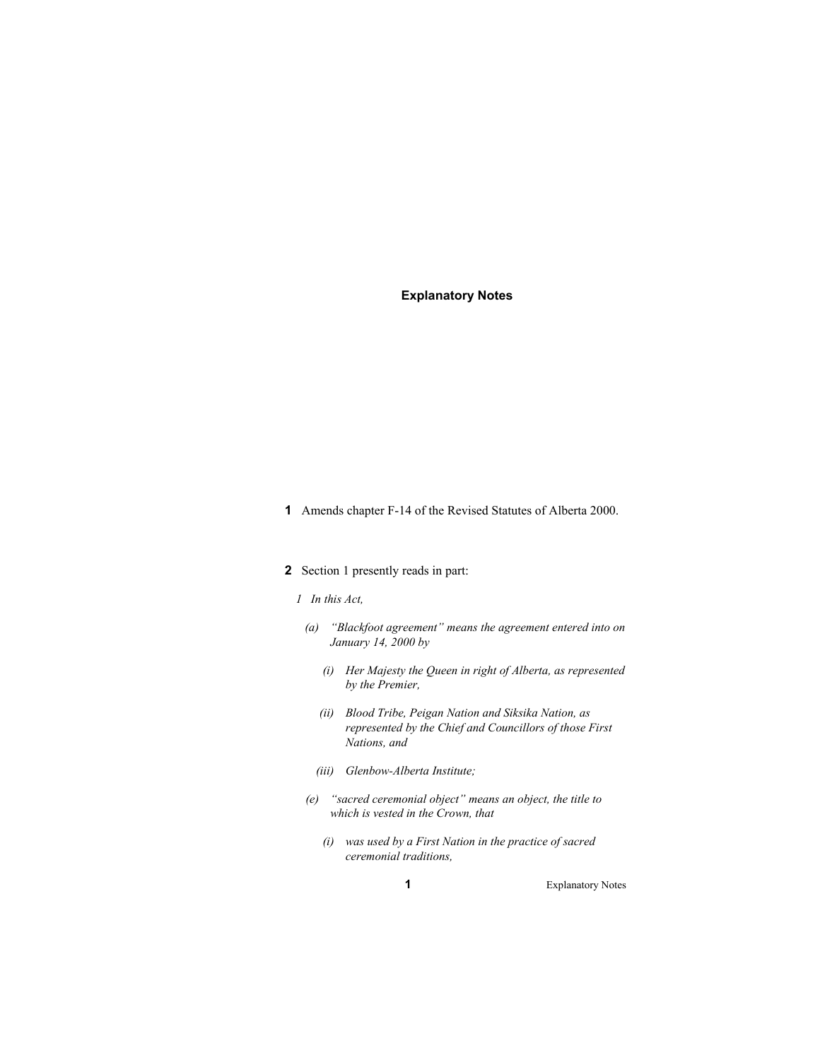# **Explanatory Notes**

**1** Amends chapter F-14 of the Revised Statutes of Alberta 2000.

# **2** Section 1 presently reads in part:

#### *1 In this Act,*

- *(a) "Blackfoot agreement" means the agreement entered into on January 14, 2000 by* 
	- *(i) Her Majesty the Queen in right of Alberta, as represented by the Premier,*
	- *(ii) Blood Tribe, Peigan Nation and Siksika Nation, as represented by the Chief and Councillors of those First Nations, and*
	- *(iii) Glenbow-Alberta Institute;*
- *(e) "sacred ceremonial object" means an object, the title to which is vested in the Crown, that* 
	- *(i) was used by a First Nation in the practice of sacred ceremonial traditions,*

**1** Explanatory Notes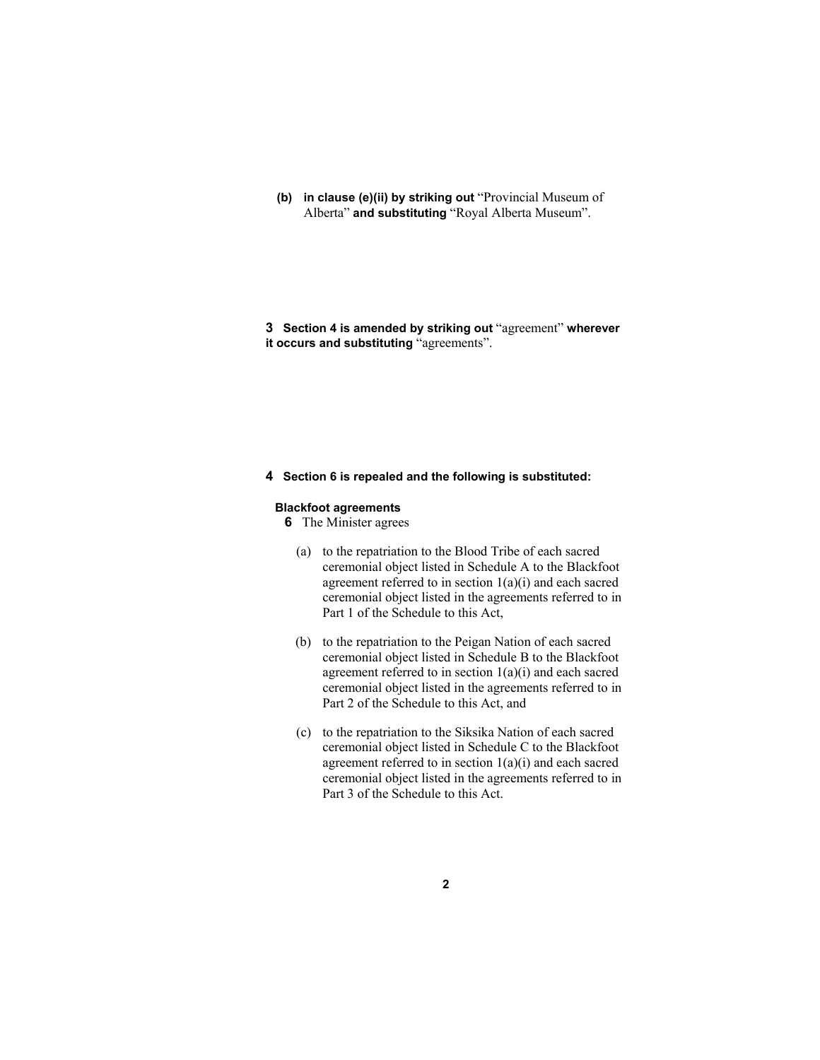**(b) in clause (e)(ii) by striking out** "Provincial Museum of Alberta" **and substituting** "Royal Alberta Museum".

**3 Section 4 is amended by striking out** "agreement" **wherever it occurs and substituting** "agreements".

#### **4 Section 6 is repealed and the following is substituted:**

# **Blackfoot agreements**

**6** The Minister agrees

- (a) to the repatriation to the Blood Tribe of each sacred ceremonial object listed in Schedule A to the Blackfoot agreement referred to in section  $1(a)(i)$  and each sacred ceremonial object listed in the agreements referred to in Part 1 of the Schedule to this Act,
- (b) to the repatriation to the Peigan Nation of each sacred ceremonial object listed in Schedule B to the Blackfoot agreement referred to in section 1(a)(i) and each sacred ceremonial object listed in the agreements referred to in Part 2 of the Schedule to this Act, and
- (c) to the repatriation to the Siksika Nation of each sacred ceremonial object listed in Schedule C to the Blackfoot agreement referred to in section  $1(a)(i)$  and each sacred ceremonial object listed in the agreements referred to in Part 3 of the Schedule to this Act.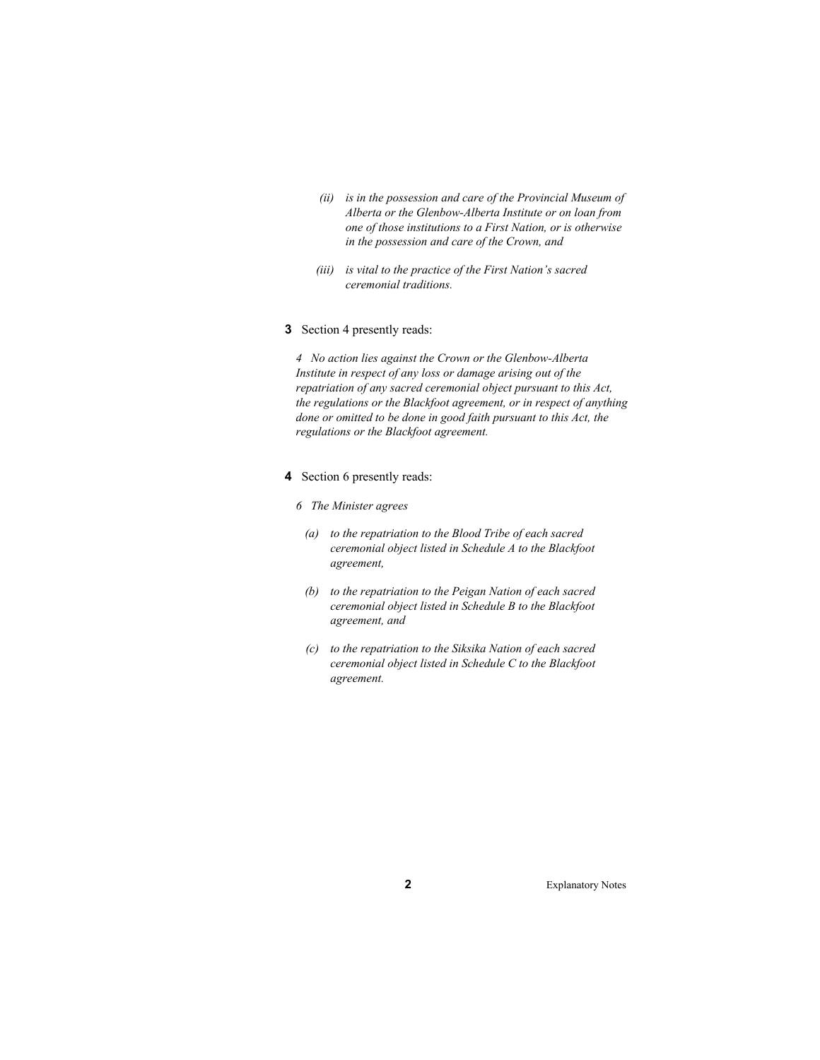- *(ii) is in the possession and care of the Provincial Museum of Alberta or the Glenbow-Alberta Institute or on loan from one of those institutions to a First Nation, or is otherwise in the possession and care of the Crown, and*
- *(iii) is vital to the practice of the First Nation's sacred ceremonial traditions.*

# **3** Section 4 presently reads:

*4 No action lies against the Crown or the Glenbow-Alberta Institute in respect of any loss or damage arising out of the repatriation of any sacred ceremonial object pursuant to this Act, the regulations or the Blackfoot agreement, or in respect of anything done or omitted to be done in good faith pursuant to this Act, the regulations or the Blackfoot agreement.* 

- **4** Section 6 presently reads:
	- *6 The Minister agrees*
	- *(a) to the repatriation to the Blood Tribe of each sacred ceremonial object listed in Schedule A to the Blackfoot agreement,*
	- *(b) to the repatriation to the Peigan Nation of each sacred ceremonial object listed in Schedule B to the Blackfoot agreement, and*
	- *(c) to the repatriation to the Siksika Nation of each sacred ceremonial object listed in Schedule C to the Blackfoot agreement.*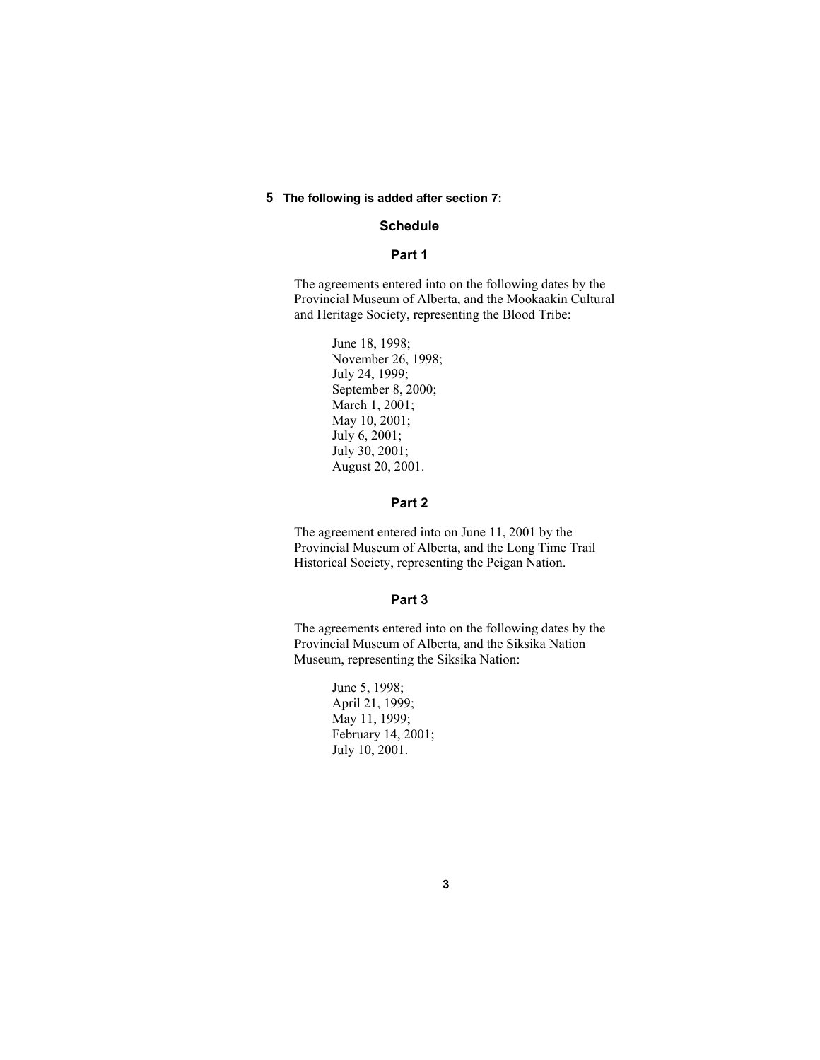# **5 The following is added after section 7:**

# **Schedule**

# **Part 1**

The agreements entered into on the following dates by the Provincial Museum of Alberta, and the Mookaakin Cultural and Heritage Society, representing the Blood Tribe:

> June 18, 1998; November 26, 1998; July 24, 1999; September 8, 2000; March 1, 2001; May 10, 2001; July 6, 2001; July 30, 2001; August 20, 2001.

# **Part 2**

The agreement entered into on June 11, 2001 by the Provincial Museum of Alberta, and the Long Time Trail Historical Society, representing the Peigan Nation.

# **Part 3**

The agreements entered into on the following dates by the Provincial Museum of Alberta, and the Siksika Nation Museum, representing the Siksika Nation:

> June 5, 1998; April 21, 1999; May 11, 1999; February 14, 2001; July 10, 2001.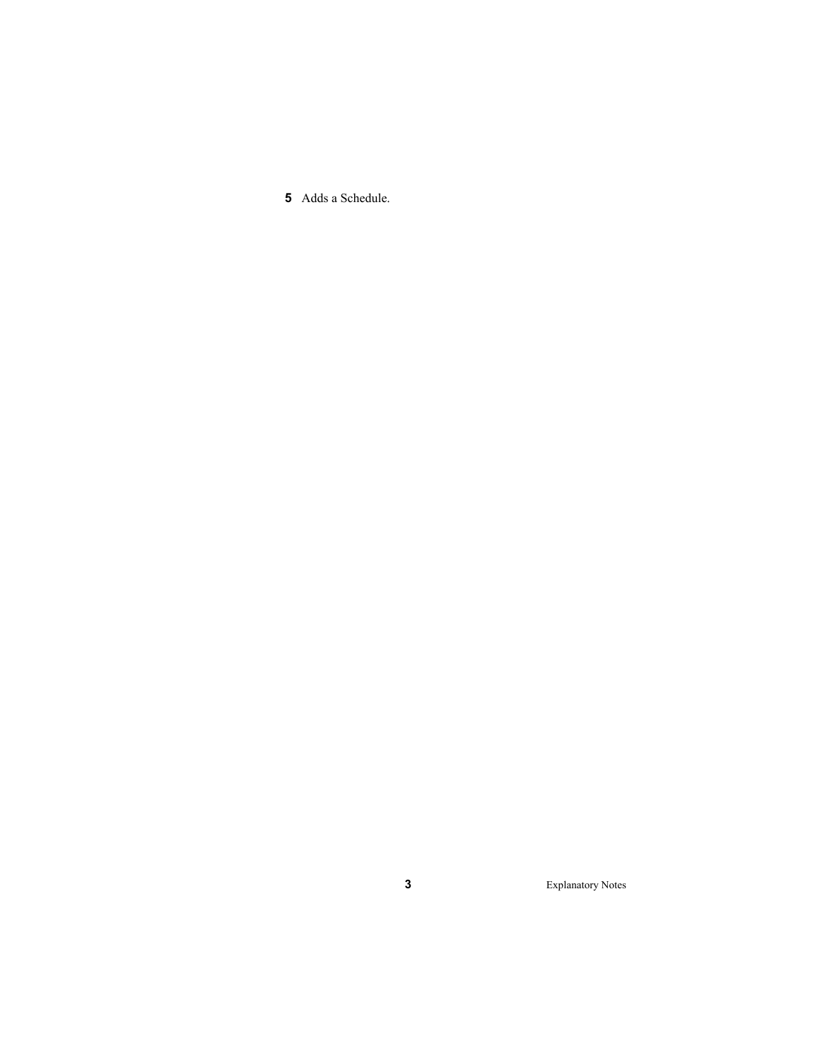Adds a Schedule.

Explanatory Notes